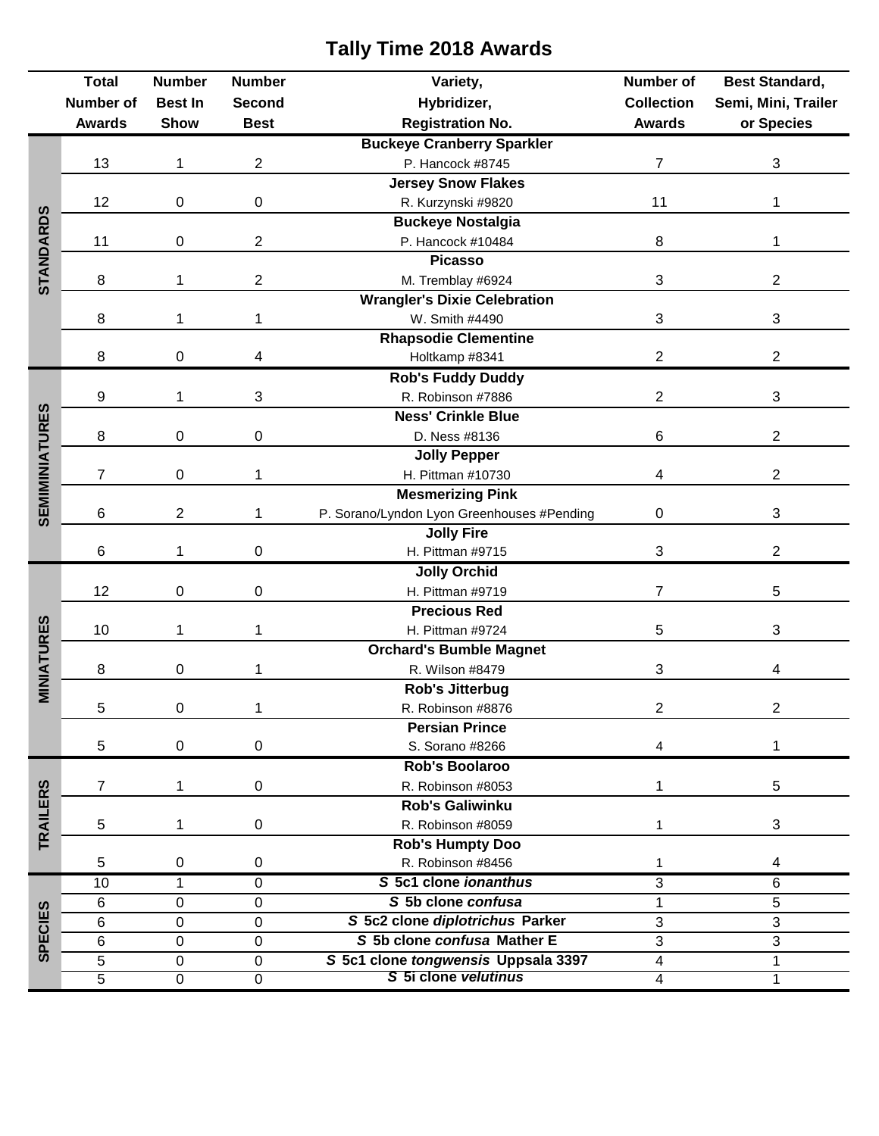## **Total Number Number Number Variety, Number of Best Standard, Number of Best In Second Hybridizer, Collection Semi, Mini, Trailer Awards Show Best Registration No. Awards or Species Buckeye Cranberry Sparkler** 13 1 2 P. Hancock #8745 7 3 **Jersey Snow Flakes** 12 0 0 0 R. Kurzynski #9820 11 1 1 1 **STANDARDS Buckeye Nostalgia** 11 0 2 P. Hancock #10484 8 3 1 **Picasso** 8 1 2 M. Tremblay #6924 3 2 **Wrangler's Dixie Celebration** 8 1 1 1 W. Smith #4490 3 3 3 **Rhapsodie Clementine** 8 0 4 Holtkamp #8341 2 2 2 **Rob's Fuddy Duddy** 9 1 3 R. Robinson #7886 2 3 **SEMIMINIATURES SEMIMINIATURES Ness' Crinkle Blue** 8 0 0 D. Ness #8136 6 2 **Jolly Pepper** 7 0 1 H. Pittman #10730 4 2 **Mesmerizing Pink** 6 2 1 P. Sorano/Lyndon Lyon Greenhouses #Pending 0 3 **Jolly Fire** 6 1 0 H. Pittman #9715 3 2 **Jolly Orchid** 12 0 0 H. Pittman #9719 7 5 **Precious Red MINIATURES** 10 1 1 1 H. Pittman #9724 5 3 **Orchard's Bumble Magnet** 8 0 1 R. Wilson #8479 3 3 4 **Rob's Jitterbug** 5 0 1 R. Robinson #8876 2 2 **Persian Prince** 5 0 0 0 S. Sorano #8266 4 1 **Rob's Boolaroo** 7 1 0 R. Robinson #8053 1 5 **TRAILERS Rob's Galiwinku** 5 1 0 R. Robinson #8059 1 3 **Rob's Humpty Doo** 5 0 0 R. Robinson #8456 1 4 10 1 0 *S* **5c1 clone** *ionanthus* 3 6 6 0 0 *S* **5b clone** *confusa* 1 5 **SPECIES SPECIES**6 0 0 *S* **5c2 clone** *diplotrichus* **Parker** 3 3 6 0 0 *S* **5b clone** *confusa* **Mather E** 3 3 5 0 0 *S* **5c1 clone** *tongwensis* **Uppsala 3397** 4 1 5 0 0 *S* **5i clone** *velutinus* 4 1

## **Tally Time 2018 Awards**